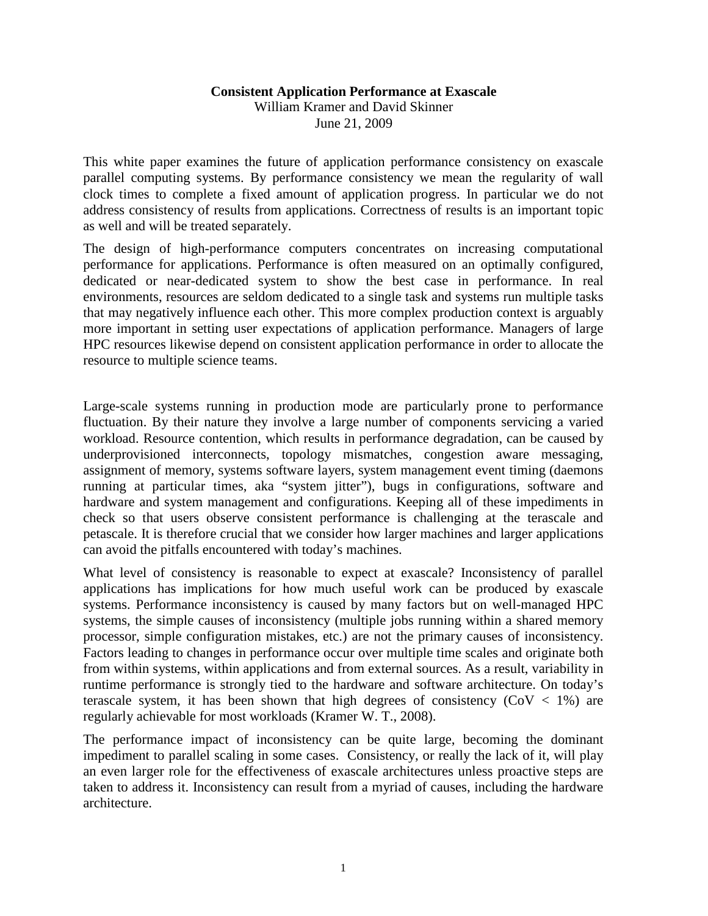## **Consistent Application Performance at Exascale**

William Kramer and David Skinner June 21, 2009

This white paper examines the future of application performance consistency on exascale parallel computing systems. By performance consistency we mean the regularity of wall clock times to complete a fixed amount of application progress. In particular we do not address consistency of results from applications. Correctness of results is an important topic as well and will be treated separately.

The design of high-performance computers concentrates on increasing computational performance for applications. Performance is often measured on an optimally configured, dedicated or near-dedicated system to show the best case in performance. In real environments, resources are seldom dedicated to a single task and systems run multiple tasks that may negatively influence each other. This more complex production context is arguably more important in setting user expectations of application performance. Managers of large HPC resources likewise depend on consistent application performance in order to allocate the resource to multiple science teams.

Large-scale systems running in production mode are particularly prone to performance fluctuation. By their nature they involve a large number of components servicing a varied workload. Resource contention, which results in performance degradation, can be caused by underprovisioned interconnects, topology mismatches, congestion aware messaging, assignment of memory, systems software layers, system management event timing (daemons running at particular times, aka "system jitter"), bugs in configurations, software and hardware and system management and configurations. Keeping all of these impediments in check so that users observe consistent performance is challenging at the terascale and petascale. It is therefore crucial that we consider how larger machines and larger applications can avoid the pitfalls encountered with today's machines.

What level of consistency is reasonable to expect at exascale? Inconsistency of parallel applications has implications for how much useful work can be produced by exascale systems. Performance inconsistency is caused by many factors but on well-managed HPC systems, the simple causes of inconsistency (multiple jobs running within a shared memory processor, simple configuration mistakes, etc.) are not the primary causes of inconsistency. Factors leading to changes in performance occur over multiple time scales and originate both from within systems, within applications and from external sources. As a result, variability in runtime performance is strongly tied to the hardware and software architecture. On today's terascale system, it has been shown that high degrees of consistency  $(CoV < 1\%)$  are regularly achievable for most workloads (Kramer W. T., 2008).

The performance impact of inconsistency can be quite large, becoming the dominant impediment to parallel scaling in some cases. Consistency, or really the lack of it, will play an even larger role for the effectiveness of exascale architectures unless proactive steps are taken to address it. Inconsistency can result from a myriad of causes, including the hardware architecture.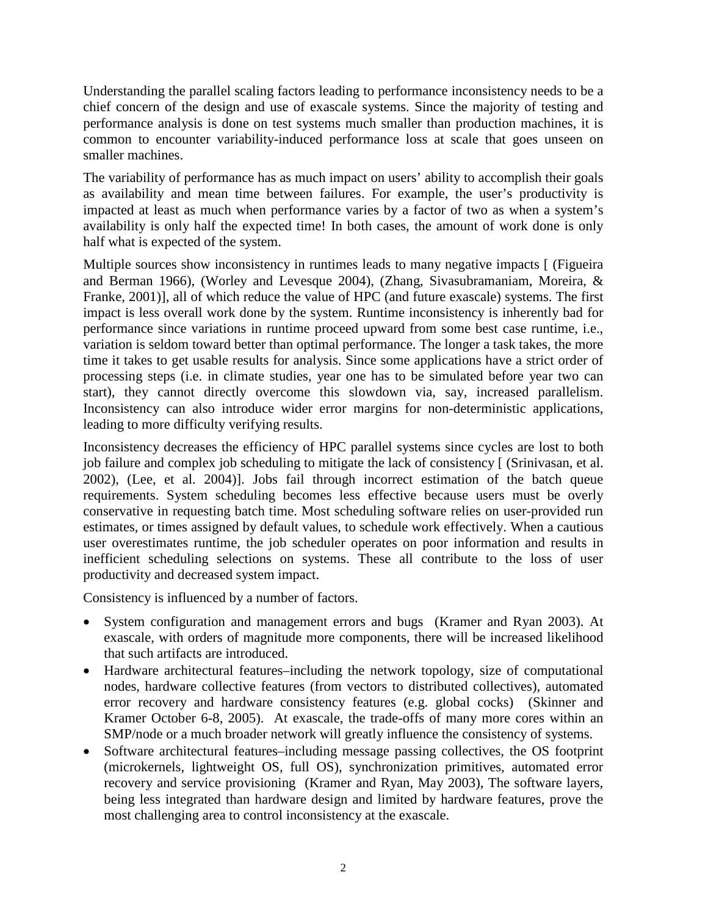Understanding the parallel scaling factors leading to performance inconsistency needs to be a chief concern of the design and use of exascale systems. Since the majority of testing and performance analysis is done on test systems much smaller than production machines, it is common to encounter variability-induced performance loss at scale that goes unseen on smaller machines.

The variability of performance has as much impact on users' ability to accomplish their goals as availability and mean time between failures. For example, the user's productivity is impacted at least as much when performance varies by a factor of two as when a system's availability is only half the expected time! In both cases, the amount of work done is only half what is expected of the system.

Multiple sources show inconsistency in runtimes leads to many negative impacts [ (Figueira and Berman 1966), (Worley and Levesque 2004), (Zhang, Sivasubramaniam, Moreira, & Franke, 2001)], all of which reduce the value of HPC (and future exascale) systems. The first impact is less overall work done by the system. Runtime inconsistency is inherently bad for performance since variations in runtime proceed upward from some best case runtime, i.e., variation is seldom toward better than optimal performance. The longer a task takes, the more time it takes to get usable results for analysis. Since some applications have a strict order of processing steps (i.e. in climate studies, year one has to be simulated before year two can start), they cannot directly overcome this slowdown via, say, increased parallelism. Inconsistency can also introduce wider error margins for non-deterministic applications, leading to more difficulty verifying results.

Inconsistency decreases the efficiency of HPC parallel systems since cycles are lost to both job failure and complex job scheduling to mitigate the lack of consistency [ (Srinivasan, et al. 2002), (Lee, et al. 2004)]. Jobs fail through incorrect estimation of the batch queue requirements. System scheduling becomes less effective because users must be overly conservative in requesting batch time. Most scheduling software relies on user-provided run estimates, or times assigned by default values, to schedule work effectively. When a cautious user overestimates runtime, the job scheduler operates on poor information and results in inefficient scheduling selections on systems. These all contribute to the loss of user productivity and decreased system impact.

Consistency is influenced by a number of factors.

- System configuration and management errors and bugs (Kramer and Ryan 2003). At exascale, with orders of magnitude more components, there will be increased likelihood that such artifacts are introduced.
- Hardware architectural features–including the network topology, size of computational nodes, hardware collective features (from vectors to distributed collectives), automated error recovery and hardware consistency features (e.g. global cocks) (Skinner and Kramer October 6-8, 2005). At exascale, the trade-offs of many more cores within an SMP/node or a much broader network will greatly influence the consistency of systems.
- Software architectural features–including message passing collectives, the OS footprint (microkernels, lightweight OS, full OS), synchronization primitives, automated error recovery and service provisioning (Kramer and Ryan, May 2003), The software layers, being less integrated than hardware design and limited by hardware features, prove the most challenging area to control inconsistency at the exascale.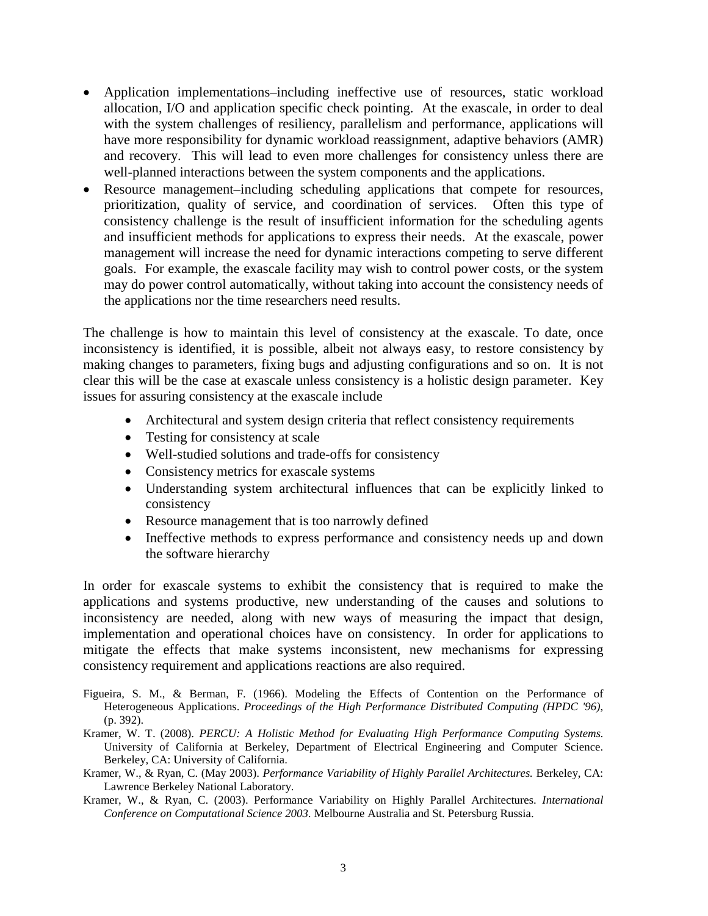- Application implementations–including ineffective use of resources, static workload allocation, I/O and application specific check pointing. At the exascale, in order to deal with the system challenges of resiliency, parallelism and performance, applications will have more responsibility for dynamic workload reassignment, adaptive behaviors (AMR) and recovery. This will lead to even more challenges for consistency unless there are well-planned interactions between the system components and the applications.
- Resource management–including scheduling applications that compete for resources, prioritization, quality of service, and coordination of services. Often this type of consistency challenge is the result of insufficient information for the scheduling agents and insufficient methods for applications to express their needs. At the exascale, power management will increase the need for dynamic interactions competing to serve different goals. For example, the exascale facility may wish to control power costs, or the system may do power control automatically, without taking into account the consistency needs of the applications nor the time researchers need results.

The challenge is how to maintain this level of consistency at the exascale. To date, once inconsistency is identified, it is possible, albeit not always easy, to restore consistency by making changes to parameters, fixing bugs and adjusting configurations and so on. It is not clear this will be the case at exascale unless consistency is a holistic design parameter. Key issues for assuring consistency at the exascale include

- Architectural and system design criteria that reflect consistency requirements
- Testing for consistency at scale
- Well-studied solutions and trade-offs for consistency
- Consistency metrics for exascale systems
- Understanding system architectural influences that can be explicitly linked to consistency
- Resource management that is too narrowly defined
- Ineffective methods to express performance and consistency needs up and down the software hierarchy

In order for exascale systems to exhibit the consistency that is required to make the applications and systems productive, new understanding of the causes and solutions to inconsistency are needed, along with new ways of measuring the impact that design, implementation and operational choices have on consistency. In order for applications to mitigate the effects that make systems inconsistent, new mechanisms for expressing consistency requirement and applications reactions are also required.

- Figueira, S. M., & Berman, F. (1966). Modeling the Effects of Contention on the Performance of Heterogeneous Applications. *Proceedings of the High Performance Distributed Computing (HPDC '96)*, (p. 392).
- Kramer, W. T. (2008). *PERCU: A Holistic Method for Evaluating High Performance Computing Systems.* University of California at Berkeley, Department of Electrical Engineering and Computer Science. Berkeley, CA: University of California.
- Kramer, W., & Ryan, C. (May 2003). *Performance Variability of Highly Parallel Architectures.* Berkeley, CA: Lawrence Berkeley National Laboratory.
- Kramer, W., & Ryan, C. (2003). Performance Variability on Highly Parallel Architectures. *International Conference on Computational Science 2003.* Melbourne Australia and St. Petersburg Russia.